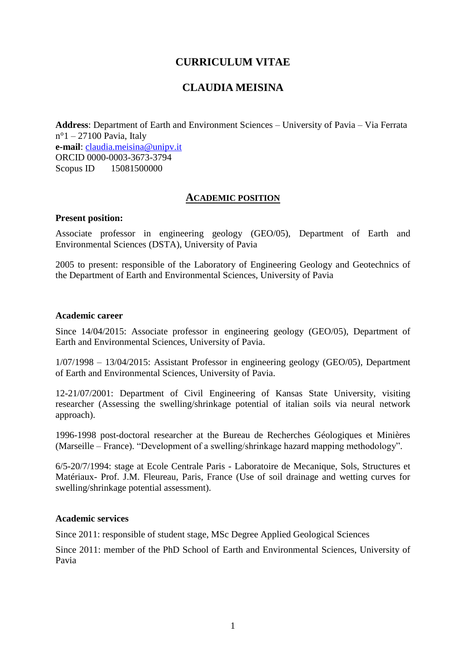# **CURRICULUM VITAE**

# **CLAUDIA MEISINA**

**Address**: Department of Earth and Environment Sciences – University of Pavia – Via Ferrata  $n^{\circ}1 - 27100$  Pavia, Italy **e-mail**: [claudia.meisina@unipv.it](mailto:claudia.meisina@unipv.it) ORCID 0000-0003-3673-3794 Scopus ID 15081500000

## **ACADEMIC POSITION**

#### **Present position:**

Associate professor in engineering geology (GEO/05), Department of Earth and Environmental Sciences (DSTA), University of Pavia

2005 to present: responsible of the Laboratory of Engineering Geology and Geotechnics of the Department of Earth and Environmental Sciences, University of Pavia

#### **Academic career**

Since 14/04/2015: Associate professor in engineering geology (GEO/05), Department of Earth and Environmental Sciences, University of Pavia.

1/07/1998 – 13/04/2015: Assistant Professor in engineering geology (GEO/05), Department of Earth and Environmental Sciences, University of Pavia.

12-21/07/2001: Department of Civil Engineering of Kansas State University, visiting researcher (Assessing the swelling/shrinkage potential of italian soils via neural network approach).

1996-1998 post-doctoral researcher at the Bureau de Recherches Géologiques et Minières (Marseille – France). "Development of a swelling/shrinkage hazard mapping methodology".

6/5-20/7/1994: stage at Ecole Centrale Paris - Laboratoire de Mecanique, Sols, Structures et Matériaux- Prof. J.M. Fleureau, Paris, France (Use of soil drainage and wetting curves for swelling/shrinkage potential assessment).

### **Academic services**

Since 2011: responsible of student stage, MSc Degree Applied Geological Sciences

Since 2011: member of the PhD School of Earth and Environmental Sciences, University of Pavia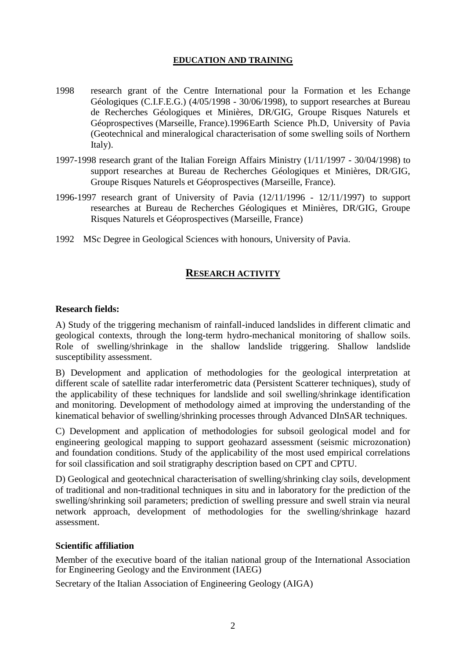## **EDUCATION AND TRAINING**

- 1998 research grant of the Centre International pour la Formation et les Echange Géologiques (C.I.F.E.G.) (4/05/1998 - 30/06/1998), to support researches at Bureau de Recherches Géologiques et Minières, DR/GIG, Groupe Risques Naturels et Géoprospectives (Marseille, France).1996Earth Science Ph.D, University of Pavia (Geotechnical and mineralogical characterisation of some swelling soils of Northern Italy).
- 1997-1998 research grant of the Italian Foreign Affairs Ministry (1/11/1997 30/04/1998) to support researches at Bureau de Recherches Géologiques et Minières, DR/GIG, Groupe Risques Naturels et Géoprospectives (Marseille, France).
- 1996-1997 research grant of University of Pavia (12/11/1996 12/11/1997) to support researches at Bureau de Recherches Géologiques et Minières, DR/GIG, Groupe Risques Naturels et Géoprospectives (Marseille, France)
- 1992 MSc Degree in Geological Sciences with honours, University of Pavia.

# **RESEARCH ACTIVITY**

## **Research fields:**

A) Study of the triggering mechanism of rainfall-induced landslides in different climatic and geological contexts, through the long-term hydro-mechanical monitoring of shallow soils. Role of swelling/shrinkage in the shallow landslide triggering. Shallow landslide susceptibility assessment.

B) Development and application of methodologies for the geological interpretation at different scale of satellite radar interferometric data (Persistent Scatterer techniques), study of the applicability of these techniques for landslide and soil swelling/shrinkage identification and monitoring. Development of methodology aimed at improving the understanding of the kinematical behavior of swelling/shrinking processes through Advanced DInSAR techniques.

C) Development and application of methodologies for subsoil geological model and for engineering geological mapping to support geohazard assessment (seismic microzonation) and foundation conditions. Study of the applicability of the most used empirical correlations for soil classification and soil stratigraphy description based on CPT and CPTU.

D) Geological and geotechnical characterisation of swelling/shrinking clay soils, development of traditional and non-traditional techniques in situ and in laboratory for the prediction of the swelling/shrinking soil parameters; prediction of swelling pressure and swell strain via neural network approach, development of methodologies for the swelling/shrinkage hazard assessment.

### **Scientific affiliation**

Member of the executive board of the italian national group of the International Association for Engineering Geology and the Environment (IAEG)

Secretary of the Italian Association of Engineering Geology (AIGA)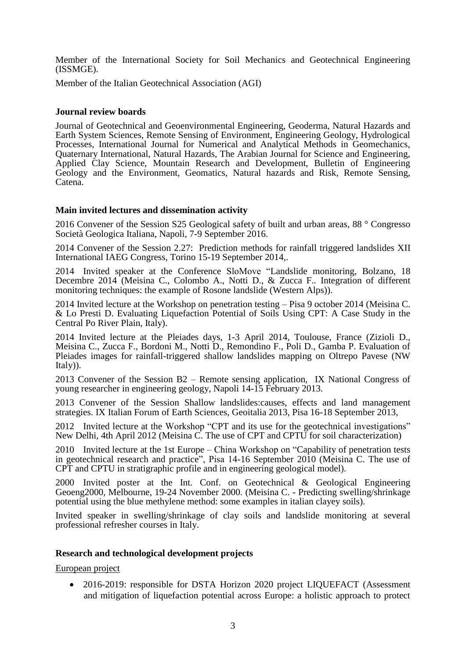Member of the International Society for Soil Mechanics and Geotechnical Engineering (ISSMGE).

Member of the Italian Geotechnical Association (AGI)

#### **Journal review boards**

Journal of Geotechnical and Geoenvironmental Engineering, Geoderma, Natural Hazards and Earth System Sciences, Remote Sensing of Environment, Engineering Geology, Hydrological Processes, International Journal for Numerical and Analytical Methods in Geomechanics, Quaternary International, Natural Hazards, The Arabian Journal for Science and Engineering, Applied Clay Science, Mountain Research and Development, Bulletin of Engineering Geology and the Environment, Geomatics, Natural hazards and Risk, Remote Sensing, Catena.

### **Main invited lectures and dissemination activity**

2016 Convener of the Session S25 Geological safety of built and urban areas, 88 ° Congresso Società Geologica Italiana, Napoli, 7-9 September 2016.

2014 Convener of the Session 2.27: Prediction methods for rainfall triggered landslides XII International IAEG Congress, Torino 15-19 September 2014,.

2014 Invited speaker at the Conference SloMove "Landslide monitoring, Bolzano, 18 Decembre 2014 (Meisina C., Colombo A., Notti D., & Zucca F.. Integration of different monitoring techniques: the example of Rosone landslide (Western Alps)).

2014 Invited lecture at the Workshop on penetration testing – Pisa 9 october 2014 (Meisina C. & Lo Presti D. Evaluating Liquefaction Potential of Soils Using CPT: A Case Study in the Central Po River Plain, Italy).

2014 Invited lecture at the Pleiades days, 1-3 April 2014, Toulouse, France (Zizioli D., Meisina C., Zucca F., Bordoni M., Notti D., Remondino F., Poli D., Gamba P. Evaluation of Pleiades images for rainfall-triggered shallow landslides mapping on Oltrepo Pavese (NW Italy)).

2013 Convener of the Session B2 – Remote sensing application, IX National Congress of young researcher in engineering geology, Napoli 14-15 February 2013.

2013 Convener of the Session Shallow landslides:causes, effects and land management strategies. IX Italian Forum of Earth Sciences, Geoitalia 2013, Pisa 16-18 September 2013,

2012 Invited lecture at the Workshop "CPT and its use for the geotechnical investigations" New Delhi, 4th April 2012 (Meisina C. The use of CPT and CPTU for soil characterization)

2010 Invited lecture at the 1st Europe – China Workshop on "Capability of penetration tests in geotechnical research and practice", Pisa 14-16 September 2010 (Meisina C. The use of CPT and CPTU in stratigraphic profile and in engineering geological model).

2000 Invited poster at the Int. Conf. on Geotechnical & Geological Engineering Geoeng2000, Melbourne, 19-24 November 2000. (Meisina C. - Predicting swelling/shrinkage potential using the blue methylene method: some examples in italian clayey soils).

Invited speaker in swelling/shrinkage of clay soils and landslide monitoring at several professional refresher courses in Italy.

#### **Research and technological development projects**

European project

• 2016-2019: responsible for DSTA Horizon 2020 project LIQUEFACT (Assessment and mitigation of liquefaction potential across Europe: a holistic approach to protect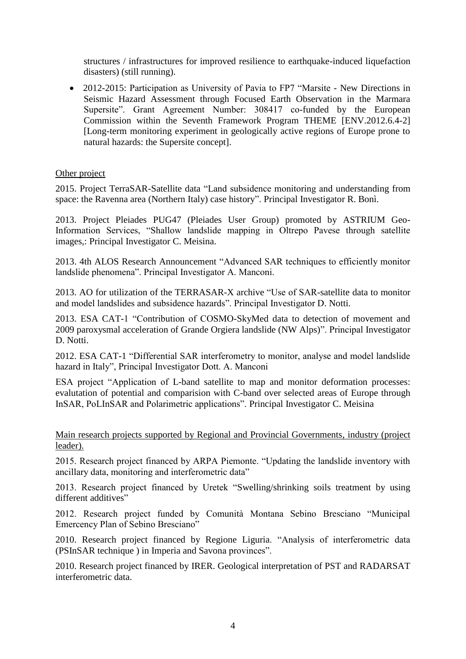structures / infrastructures for improved resilience to earthquake-induced liquefaction disasters) (still running).

• 2012-2015: Participation as University of Pavia to FP7 "Marsite - New Directions in Seismic Hazard Assessment through Focused Earth Observation in the Marmara Supersite". Grant Agreement Number: 308417 co-funded by the European Commission within the Seventh Framework Program THEME [ENV.2012.6.4-2] [Long-term monitoring experiment in geologically active regions of Europe prone to natural hazards: the Supersite concept].

## Other project

2015. Project TerraSAR-Satellite data "Land subsidence monitoring and understanding from space: the Ravenna area (Northern Italy) case history". Principal Investigator R. Bonì.

2013. Project Pleiades PUG47 (Pleiades User Group) promoted by ASTRIUM Geo-Information Services, "Shallow landslide mapping in Oltrepo Pavese through satellite images,: Principal Investigator C. Meisina.

2013. 4th ALOS Research Announcement "Advanced SAR techniques to efficiently monitor landslide phenomena". Principal Investigator A. Manconi.

2013. AO for utilization of the TERRASAR-X archive "Use of SAR-satellite data to monitor and model landslides and subsidence hazards". Principal Investigator D. Notti.

2013. ESA CAT-1 "Contribution of COSMO-SkyMed data to detection of movement and 2009 paroxysmal acceleration of Grande Orgiera landslide (NW Alps)". Principal Investigator D. Notti.

2012. ESA CAT-1 "Differential SAR interferometry to monitor, analyse and model landslide hazard in Italy", Principal Investigator Dott. A. Manconi

ESA project "Application of L-band satellite to map and monitor deformation processes: evalutation of potential and comparision with C-band over selected areas of Europe through InSAR, PoLInSAR and Polarimetric applications". Principal Investigator C. Meisina

Main research projects supported by Regional and Provincial Governments, industry (project leader).

2015. Research project financed by ARPA Piemonte. "Updating the landslide inventory with ancillary data, monitoring and interferometric data"

2013. Research project financed by Uretek "Swelling/shrinking soils treatment by using different additives"

2012. Research project funded by Comunità Montana Sebino Bresciano "Municipal Emercency Plan of Sebino Bresciano"

2010. Research project financed by Regione Liguria. "Analysis of interferometric data (PSInSAR technique ) in Imperia and Savona provinces".

2010. Research project financed by IRER. Geological interpretation of PST and RADARSAT interferometric data.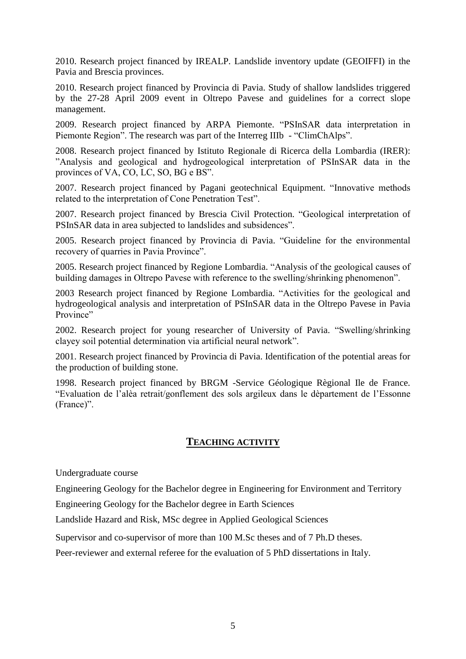2010. Research project financed by IREALP. Landslide inventory update (GEOIFFI) in the Pavia and Brescia provinces.

2010. Research project financed by Provincia di Pavia. Study of shallow landslides triggered by the 27-28 April 2009 event in Oltrepo Pavese and guidelines for a correct slope management.

2009. Research project financed by ARPA Piemonte. "PSInSAR data interpretation in Piemonte Region". The research was part of the Interreg IIIb - "ClimChAlps".

2008. Research project financed by Istituto Regionale di Ricerca della Lombardia (IRER): "Analysis and geological and hydrogeological interpretation of PSInSAR data in the provinces of VA, CO, LC, SO, BG e BS".

2007. Research project financed by Pagani geotechnical Equipment. "Innovative methods related to the interpretation of Cone Penetration Test".

2007. Research project financed by Brescia Civil Protection. "Geological interpretation of PSInSAR data in area subjected to landslides and subsidences".

2005. Research project financed by Provincia di Pavia. "Guideline for the environmental recovery of quarries in Pavia Province".

2005. Research project financed by Regione Lombardia. "Analysis of the geological causes of building damages in Oltrepo Pavese with reference to the swelling/shrinking phenomenon".

2003 Research project financed by Regione Lombardia. "Activities for the geological and hydrogeological analysis and interpretation of PSInSAR data in the Oltrepo Pavese in Pavia Province"

2002. Research project for young researcher of University of Pavia. "Swelling/shrinking clayey soil potential determination via artificial neural network".

2001. Research project financed by Provincia di Pavia. Identification of the potential areas for the production of building stone.

1998. Research project financed by BRGM -Service Géologique Règional Ile de France. "Evaluation de l'alèa retrait/gonflement des sols argileux dans le dèpartement de l'Essonne (France)".

## **TEACHING ACTIVITY**

Undergraduate course

Engineering Geology for the Bachelor degree in Engineering for Environment and Territory

Engineering Geology for the Bachelor degree in Earth Sciences

Landslide Hazard and Risk, MSc degree in Applied Geological Sciences

Supervisor and co-supervisor of more than 100 M.Sc theses and of 7 Ph.D theses.

Peer-reviewer and external referee for the evaluation of 5 PhD dissertations in Italy.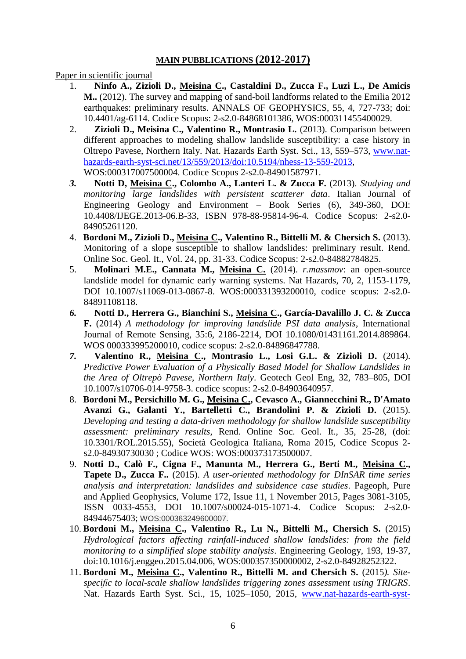## **MAIN PUBBLICATIONS (2012-2017)**

Paper in scientific journal

- 1. **Ninfo A., Zizioli D., Meisina C., Castaldini D., Zucca F., Luzi L., De Amicis M..** (2012). The survey and mapping of sand-boil landforms related to the Emilia 2012 earthquakes: preliminary results. ANNALS OF GEOPHYSICS, 55, 4, 727-733; doi: 10.4401/ag-6114. Codice Scopus: 2-s2.0-84868101386, WOS:000311455400029.
- 2. **Zizioli D., Meisina C., Valentino R., Montrasio L.** (2013). Comparison between different approaches to modeling shallow landslide susceptibility: a case history in Oltrepo Pavese, Northern Italy. Nat. Hazards Earth Syst. Sci., 13, 559–573, [www.nat](http://www.nat-hazards-earth-syst-sci.net/13/559/2013/doi:10.5194/nhess-13-559-2013)[hazards-earth-syst-sci.net/13/559/2013/doi:10.5194/nhess-13-559-2013,](http://www.nat-hazards-earth-syst-sci.net/13/559/2013/doi:10.5194/nhess-13-559-2013)

WOS:000317007500004. Codice Scopus 2-s2.0-84901587971.

- *3.* **Notti D, Meisina C., Colombo A., Lanteri L. & Zucca F.** (2013). *Studying and monitoring large landslides with persistent scatterer data*. Italian Journal of Engineering Geology and Environment – Book Series (6), 349-360, DOI: 10.4408/IJEGE.2013-06.B-33, ISBN 978-88-95814-96-4. Codice Scopus: 2-s2.0- 84905261120.
- 4. **Bordoni M., Zizioli D., Meisina C., Valentino R., Bittelli M. & Chersich S.** (2013). Monitoring of a slope susceptible to shallow landslides: preliminary result. Rend. Online Soc. Geol. It., Vol. 24, pp. 31-33. Codice Scopus: 2-s2.0-84882784825.
- 5. **Molinari M.E., Cannata M., Meisina C.** (2014). *r.massmov*: an open-source landslide model for dynamic early warning systems. Nat Hazards, 70, 2, 1153-1179, DOI 10.1007/s11069-013-0867-8. WOS:000331393200010, codice scopus: 2-s2.0- 84891108118.
- *6.* **Notti D., Herrera G., Bianchini S., Meisina C., García-Davalillo J. C. & Zucca F.** (2014) *A methodology for improving landslide PSI data analysis*, International Journal of Remote Sensing, 35:6, 2186-2214, DOI 10.1080/01431161.2014.889864. WOS 000333995200010, codice scopus: 2-s2.0-84896847788.
- *7.* **Valentino R., Meisina C., Montrasio L., Losi G.L. & Zizioli D.** (2014). *Predictive Power Evaluation of a Physically Based Model for Shallow Landslides in the Area of Oltrepò Pavese, Northern Italy*. Geotech Geol Eng, 32, 783–805, DOI 10.1007/s10706-014-9758-3. codice scopus: 2-s2.0-84903640957.
- 8. **Bordoni M., Persichillo M. G., Meisina C., Cevasco A., Giannecchini R., D'Amato Avanzi G., Galanti Y., Bartelletti C., Brandolini P. & Zizioli D.** (2015). *Developing and testing a data-driven methodology for shallow landslide susceptibility assessment: preliminary results*, Rend. Online Soc. Geol. It., 35, 25-28, (doi: 10.3301/ROL.2015.55), Società Geologica Italiana, Roma 2015, Codice Scopus 2 s2.0-84930730030 ; Codice WOS: WOS:000373173500007.
- 9. **Notti D., Calò F., Cigna F., Manunta M., Herrera G., Berti M., Meisina C., Tapete D., Zucca F..** (2015). *A user-oriented methodology for DInSAR time series analysis and interpretation: landslides and subsidence case studies*. Pageoph, Pure and Applied Geophysics, Volume 172, Issue 11, 1 November 2015, Pages 3081-3105, ISSN 0033-4553, DOI 10.1007/s00024-015-1071-4. Codice Scopus: 2-s2.0- 84944675403; WOS:000363249600007.
- 10. **Bordoni M., Meisina C., Valentino R., Lu N., Bittelli M., Chersich S.** (2015) *Hydrological factors affecting rainfall-induced shallow landslides: from the field monitoring to a simplified slope stability analysis*. Engineering Geology, 193, 19-37, doi:10.1016/j.enggeo.2015.04.006, WOS:000357350000002, 2-s2.0-84928252322.
- 11. **Bordoni M., Meisina C., Valentino R., Bittelli M. and Chersich S.** (2015*). Sitespecific to local-scale shallow landslides triggering zones assessment using TRIGRS*. Nat. Hazards Earth Syst. Sci., 15, 1025–1050, 2015, [www.nat-hazards-earth-syst-](http://www.nat-hazards-earth-syst-sci.net/15/1025/2015/)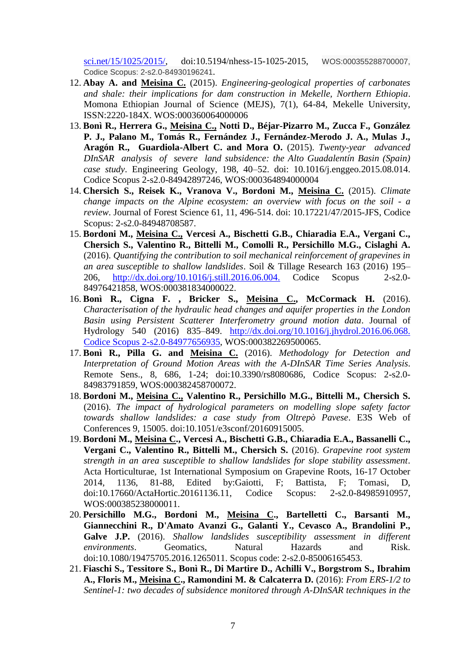[sci.net/15/1025/2015/,](http://www.nat-hazards-earth-syst-sci.net/15/1025/2015/) doi:10.5194/nhess-15-1025-2015, WOS:000355288700007, Codice Scopus: 2-s2.0-84930196241.

- 12. **Abay A. and Meisina C.** (2015). *Engineering-geological properties of carbonates and shale: their implications for dam construction in Mekelle, Northern Ethiopia*. Momona Ethiopian Journal of Science (MEJS), 7(1), 64-84, Mekelle University, ISSN:2220-184X. WOS:000360064000006
- 13. **Bonì R., Herrera G., Meisina C., Notti D., Béjar-Pizarro M., Zucca F., González P. J., Palano M., Tomás R., Fernández J., Fernández-Merodo J. A., Mulas J., Aragón R., Guardiola-Albert C. and Mora O.** (2015). *Twenty-year advanced DInSAR analysis of severe land subsidence: the Alto Guadalentín Basin (Spain) case study*. Engineering Geology, 198, 40–52. doi: 10.1016/j.enggeo.2015.08.014. Codice Scopus 2-s2.0-84942897246, WOS:000364894000004
- 14. **Chersich S., Reisek K., Vranova V., Bordoni M., Meisina C.** (2015). *Climate change impacts on the Alpine ecosystem: an overview with focus on the soil - a review*. Journal of Forest Science 61, 11, 496-514. doi: 10.17221/47/2015-JFS, Codice Scopus: 2-s2.0-84948708587.
- 15. **Bordoni M., Meisina C., Vercesi A., Bischetti G.B., Chiaradia E.A., Vergani C., Chersich S., Valentino R., Bittelli M., Comolli R., Persichillo M.G., Cislaghi A.** (2016). *Quantifying the contribution to soil mechanical reinforcement of grapevines in an area susceptible to shallow landslides*. Soil & Tillage Research 163 (2016) 195– 206, <http://dx.doi.org/10.1016/j.still.2016.06.004.> Codice Scopus 2-s2.0- 84976421858, WOS:000381834000022.
- 16. **Bonì R., Cigna F. , Bricker S., Meisina C., McCormack H.** (2016). *Characterisation of the hydraulic head changes and aquifer properties in the London Basin using Persistent Scatterer Interferometry ground motion data*. Journal of Hydrology 540 (2016) 835–849. [http://dx.doi.org/10.1016/j.jhydrol.2016.06.068.](http://dx.doi.org/10.1016/j.jhydrol.2016.06.068.%20Codice%20Scopus%202-s2.0-84977656935)  [Codice Scopus 2-s2.0-84977656935,](http://dx.doi.org/10.1016/j.jhydrol.2016.06.068.%20Codice%20Scopus%202-s2.0-84977656935) WOS:000382269500065.
- 17. **Bonì R., Pilla G. and Meisina C.** (2016). *Methodology for Detection and Interpretation of Ground Motion Areas with the A-DInSAR Time Series Analysis*. Remote Sens., 8, 686, 1-24; doi:10.3390/rs8080686, Codice Scopus: 2-s2.0- 84983791859, WOS:000382458700072.
- 18. **Bordoni M., Meisina C., Valentino R., Persichillo M.G., Bittelli M., Chersich S.**  (2016). *The impact of hydrological parameters on modelling slope safety factor towards shallow landslides: a case study from Oltrepò Pavese*. E3S Web of Conferences 9, 15005. doi:10.1051/e3sconf/20160915005.
- 19. **Bordoni M., Meisina C., Vercesi A., Bischetti G.B., Chiaradia E.A., Bassanelli C., Vergani C., Valentino R., Bittelli M., Chersich S.** (2016). *Grapevine root system strength in an area susceptible to shallow landslides for slope stability assessment*. Acta Horticulturae, 1st International Symposium on Grapevine Roots, 16-17 October 2014, 1136, 81-88, Edited by:Gaiotti, F; Battista, F; Tomasi, D, doi:10.17660/ActaHortic.20161136.11, Codice Scopus: 2-s2.0-84985910957, WOS:000385238000011.
- 20. **Persichillo M.G., Bordoni M., Meisina C., Bartelletti C., Barsanti M., Giannecchini R., D'Amato Avanzi G., Galanti Y., Cevasco A., Brandolini P., Galve J.P.** (2016). *Shallow landslides susceptibility assessment in different environments*. Geomatics, Natural Hazards and Risk. doi:10.1080/19475705.2016.1265011. Scopus code: 2-s2.0-85006165453.
- 21. **Fiaschi S., Tessitore S., Bonì R., Di Martire D., Achilli V., Borgstrom S., Ibrahim A., Floris M., Meisina C., Ramondini M. & Calcaterra D.** (2016): *From ERS-1/2 to Sentinel-1: two decades of subsidence monitored through A-DInSAR techniques in the*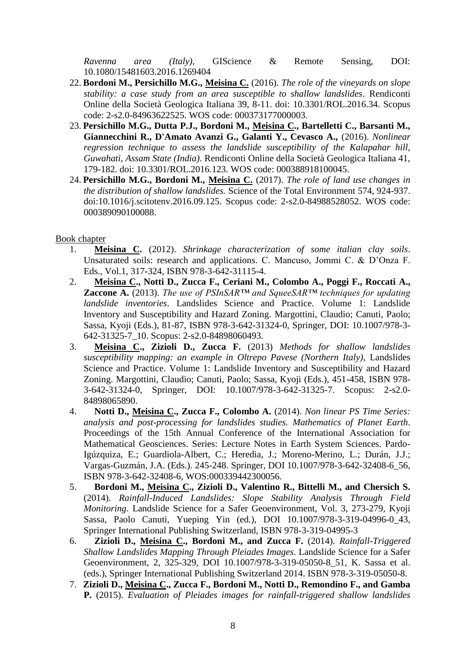*Ravenna area (Italy)*, GIScience & Remote Sensing, DOI: 10.1080/15481603.2016.1269404

- 22. **Bordoni M., Persichillo M.G., Meisina C.** (2016). *The role of the vineyards on slope stability: a case study from an area susceptible to shallow landslides*. Rendiconti Online della Società Geologica Italiana 39, 8-11. doi: 10.3301/ROL.2016.34. Scopus code: 2-s2.0-84963622525. WOS code: 000373177000003.
- 23. **Persichillo M.G., Dutta P.J., Bordoni M., Meisina C., Bartelletti C., Barsanti M., Giannecchini R., D'Amato Avanzi G., Galanti Y., Cevasco A.,** (2016). *Nonlinear regression technique to assess the landslide susceptibility of the Kalapahar hill, Guwahati, Assam State (India)*. Rendiconti Online della Società Geologica Italiana 41, 179-182. doi: 10.3301/ROL.2016.123. WOS code: 000388918100045.
- 24. **Persichillo M.G., Bordoni M., Meisina C.** (2017). *The role of land use changes in the distribution of shallow landslides.* Science of the Total Environment 574, 924-937. doi:10.1016/j.scitotenv.2016.09.125. Scopus code: 2-s2.0-84988528052. WOS code: 000389090100088.

## Book chapter

- 1. **Meisina C.** (2012). *Shrinkage characterization of some italian clay soils*. Unsaturated soils: research and applications. C. Mancuso, Jommi C. & D'Onza F. Eds., Vol.1, 317-324, ISBN 978-3-642-31115-4.
- 2. **Meisina C., Notti D., Zucca F., Ceriani M., Colombo A., Poggi F., Roccati A., Zaccone A.** (2013). *The use of PSInSAR™ and SqueeSAR™ techniques for updating landslide inventories*. Landslides Science and Practice. Volume 1: Landslide Inventory and Susceptibility and Hazard Zoning. Margottini, Claudio; Canuti, Paolo; Sassa, Kyoji (Eds.), 81-87, ISBN 978-3-642-31324-0, Springer, DOI: 10.1007/978-3- 642-31325-7\_10. Scopus: 2-s2.0-84898060493.
- 3. **Meisina C., Zizioli D., Zucca F.** (2013) *Methods for shallow landslides susceptibility mapping: an example in Oltrepo Pavese (Northern Italy)*, Landslides Science and Practice. Volume 1: Landslide Inventory and Susceptibility and Hazard Zoning. Margottini, Claudio; Canuti, Paolo; Sassa, Kyoji (Eds.), 451-458, ISBN 978- 3-642-31324-0, Springer, DOI: 10.1007/978-3-642-31325-7. Scopus: 2-s2.0- 84898065890.
- 4. **Notti D., Meisina C., Zucca F., Colombo A.** (2014). *Non linear PS Time Series: analysis and post-processing for landslides studies. Mathematics of Planet Earth*. Proceedings of the 15th Annual Conference of the International Association for Mathematical Geosciences. Series: Lecture Notes in Earth System Sciences. Pardo-Igúzquiza, E.; Guardiola-Albert, C.; Heredia, J.; Moreno-Merino, L.; Durán, J.J.; Vargas-Guzmán, J.A. (Eds.). 245-248. Springer, DOI 10.1007/978-3-642-32408-6\_56, ISBN 978-3-642-32408-6, WOS:000339442300056.
- 5. **Bordoni M., Meisina C., Zizioli D., Valentino R., Bittelli M., and Chersich S.** (2014). *Rainfall-Induced Landslides: Slope Stability Analysis Through Field Monitoring*. Landslide Science for a Safer Geoenvironment, Vol. 3, 273-279, Kyoji Sassa, Paolo Canuti, Yueping Yin (ed.), DOI 10.1007/978-3-319-04996-0\_43, Springer International Publishing Switzerland, ISBN 978-3-319-04995-3
- 6. **Zizioli D., Meisina C., Bordoni M., and Zucca F.** (2014). *Rainfall-Triggered Shallow Landslides Mapping Through Pleiades Images*. Landslide Science for a Safer Geoenvironment, 2, 325-329, DOI 10.1007/978-3-319-05050-8\_51, K. Sassa et al. (eds.), Springer International Publishing Switzerland 2014. ISBN 978-3-319-05050-8.
- 7. **Zizioli D., Meisina C., Zucca F., Bordoni M., Notti D., Remondino F., and Gamba P.** (2015). *Evaluation of Pleiades images for rainfall-triggered shallow landslides*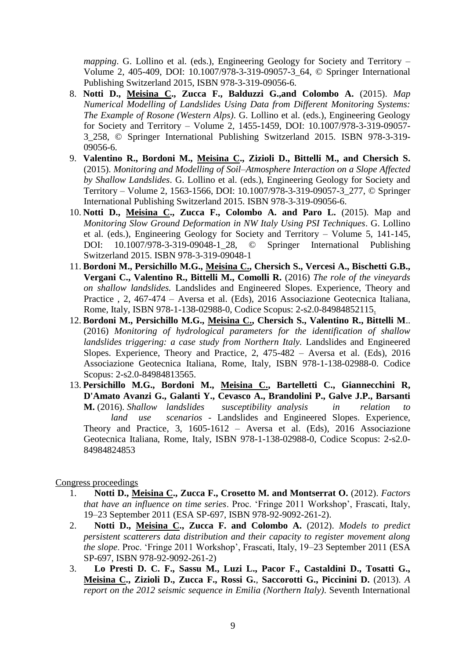*mapping*. G. Lollino et al. (eds.), Engineering Geology for Society and Territory – Volume 2, 405-409, DOI: 10.1007/978-3-319-09057-3\_64, © Springer International Publishing Switzerland 2015, ISBN 978-3-319-09056-6.

- 8. **Notti D., Meisina C., Zucca F., Balduzzi G.,and Colombo A.** (2015). *Map Numerical Modelling of Landslides Using Data from Different Monitoring Systems: The Example of Rosone (Western Alps)*. G. Lollino et al. (eds.), Engineering Geology for Society and Territory – Volume 2, 1455-1459, DOI: 10.1007/978-3-319-09057- 3\_258, © Springer International Publishing Switzerland 2015. ISBN 978-3-319- 09056-6.
- 9. **Valentino R., Bordoni M., Meisina C., Zizioli D., Bittelli M., and Chersich S.** (2015). *Monitoring and Modelling of Soil–Atmosphere Interaction on a Slope Affected by Shallow Landslides*. G. Lollino et al. (eds.), Engineering Geology for Society and Territory – Volume 2, 1563-1566, DOI: 10.1007/978-3-319-09057-3\_277, © Springer International Publishing Switzerland 2015. ISBN 978-3-319-09056-6.
- 10. **Notti D., Meisina C., Zucca F., Colombo A. and Paro L.** (2015). Map and *Monitoring Slow Ground Deformation in NW Italy Using PSI Techniques*. G. Lollino et al. (eds.), Engineering Geology for Society and Territory – Volume 5, 141-145, DOI: 10.1007/978-3-319-09048-1\_28, © Springer International Publishing Switzerland 2015. ISBN 978-3-319-09048-1
- 11. **Bordoni M., Persichillo M.G., Meisina C., Chersich S., Vercesi A., Bischetti G.B., Vergani C., Valentino R., Bittelli M., Comolli R.** (2016) *The role of the vineyards on shallow landslides.* Landslides and Engineered Slopes. Experience, Theory and Practice , 2, 467-474 – Aversa et al. (Eds), 2016 Associazione Geotecnica Italiana, Rome, Italy, ISBN 978-1-138-02988-0, Codice Scopus: 2-s2.0-84984852115.
- 12. **Bordoni M., Persichillo M.G., Meisina C., Chersich S., Valentino R., Bittelli M**.. (2016) *Monitoring of hydrological parameters for the identification of shallow landslides triggering: a case study from Northern Italy. Landslides and Engineered* Slopes. Experience, Theory and Practice, 2,  $475-482$  – Aversa et al. (Eds),  $2016$ Associazione Geotecnica Italiana, Rome, Italy, ISBN 978-1-138-02988-0. Codice Scopus: 2-s2.0-84984813565.
- 13. **Persichillo M.G., Bordoni M., Meisina C., Bartelletti C., Giannecchini R, D'Amato Avanzi G., Galanti Y., Cevasco A., Brandolini P., Galve J.P., Barsanti M.** (2016). *Shallow landslides susceptibility analysis in relation to land use scenarios -* Landslides and Engineered Slopes. Experience, Theory and Practice, 3, 1605-1612 – Aversa et al. (Eds), 2016 Associazione Geotecnica Italiana, Rome, Italy, ISBN 978-1-138-02988-0, Codice Scopus: 2-s2.0- 84984824853

Congress proceedings

- 1. **Notti D., Meisina C., Zucca F., Crosetto M. and Montserrat O.** (2012). *Factors that have an influence on time series*. Proc. 'Fringe 2011 Workshop', Frascati, Italy, 19–23 September 2011 (ESA SP-697, ISBN 978-92-9092-261-2).
- 2. **Notti D., Meisina C., Zucca F. and Colombo A.** (2012). *Models to predict persistent scatterers data distribution and their capacity to register movement along the slope*. Proc. 'Fringe 2011 Workshop', Frascati, Italy, 19–23 September 2011 (ESA SP-697, ISBN 978-92-9092-261-2)
- 3. **Lo Presti D. C. F., Sassu M., Luzi L., Pacor F., Castaldini D., Tosatti G., Meisina C., Zizioli D., Zucca F., Rossi G.**, **Saccorotti G., Piccinini D.** (2013). *A report on the 2012 seismic sequence in Emilia (Northern Italy)*. Seventh International